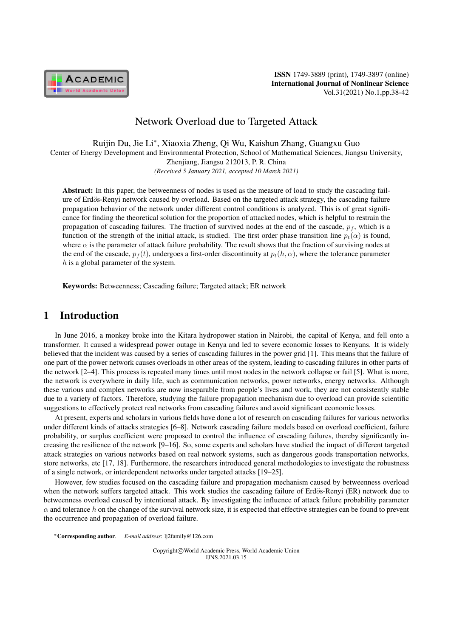

# Network Overload due to Targeted Attack

Ruijin Du, Jie Li*<sup>∗</sup>* , Xiaoxia Zheng, Qi Wu, Kaishun Zhang, Guangxu Guo Center of Energy Development and Environmental Protection, School of Mathematical Sciences, Jiangsu University, Zhenjiang, Jiangsu 212013, P. R. China *(Received 5 January 2021, accepted 10 March 2021)*

Abstract: In this paper, the betweenness of nodes is used as the measure of load to study the cascading failure of Erdös-Renyi network caused by overload. Based on the targeted attack strategy, the cascading failure propagation behavior of the network under different control conditions is analyzed. This is of great significance for finding the theoretical solution for the proportion of attacked nodes, which is helpful to restrain the propagation of cascading failures. The fraction of survived nodes at the end of the cascade,  $p_f$ , which is a function of the strength of the initial attack, is studied. The first order phase transition line  $p_t(\alpha)$  is found, where  $\alpha$  is the parameter of attack failure probability. The result shows that the fraction of surviving nodes at the end of the cascade,  $p_f(t)$ , undergoes a first-order discontinuity at  $p_f(h, \alpha)$ , where the tolerance parameter *h* is a global parameter of the system.

Keywords: Betweenness; Cascading failure; Targeted attack; ER network

### 1 Introduction

In June 2016, a monkey broke into the Kitara hydropower station in Nairobi, the capital of Kenya, and fell onto a transformer. It caused a widespread power outage in Kenya and led to severe economic losses to Kenyans. It is widely believed that the incident was caused by a series of cascading failures in the power grid [1]. This means that the failure of one part of the power network causes overloads in other areas of the system, leading to cascading failures in other parts of the network [2–4]. This process is repeated many times until most nodes in the network collapse or fail [5]. What is more, the network is everywhere in daily life, such as communication networks, power networks, energy networks. Although these various and complex networks are now inseparable from people's lives and work, they are not consistently stable due to a variety of factors. Therefore, studying the failure propagation mechanism due to overload can provide scientific suggestions to effectively protect real networks from cascading failures and avoid significant economic losses.

At present, experts and scholars in various fields have done a lot of research on cascading failures for various networks under different kinds of attacks strategies [6–8]. Network cascading failure models based on overload coefficient, failure probability, or surplus coefficient were proposed to control the influence of cascading failures, thereby significantly increasing the resilience of the network [9–16]. So, some experts and scholars have studied the impact of different targeted attack strategies on various networks based on real network systems, such as dangerous goods transportation networks, store networks, etc [17, 18]. Furthermore, the researchers introduced general methodologies to investigate the robustness of a single network, or interdependent networks under targeted attacks [19–25].

However, few studies focused on the cascading failure and propagation mechanism caused by betweenness overload when the network suffers targeted attack. This work studies the cascading failure of Erdös-Renyi (ER) network due to betweenness overload caused by intentional attack. By investigating the influence of attack failure probability parameter  $\alpha$  and tolerance *h* on the change of the survival network size, it is expected that effective strategies can be found to prevent the occurrence and propagation of overload failure.

Copyright*⃝*c World Academic Press, World Academic Union IJNS.2021.03.15

*<sup>∗</sup>*Corresponding author. *E-mail address*: lj2family@126.com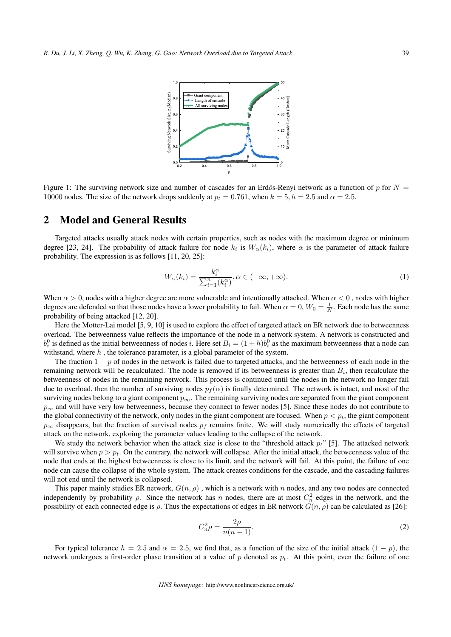

Figure 1: The surviving network size and number of cascades for an Erdös-Renyi network as a function of  $p$  for  $N =$ 10000 nodes. The size of the network drops suddenly at  $p_t = 0.761$ , when  $k = 5$ ,  $h = 2.5$  and  $\alpha = 2.5$ .

#### 2 Model and General Results

Targeted attacks usually attack nodes with certain properties, such as nodes with the maximum degree or minimum degree [23, 24]. The probability of attack failure for node  $k_i$  is  $W_\alpha(k_i)$ , where  $\alpha$  is the parameter of attack failure probability. The expression is as follows [11, 20, 25]:

$$
W_{\alpha}(k_i) = \frac{k_i^{\alpha}}{\sum_{i=1}^n (k_i^{\alpha})}, \alpha \in (-\infty, +\infty).
$$
 (1)

When *α >* 0, nodes with a higher degree are more vulnerable and intentionally attacked. When *α <* 0 , nodes with higher degrees are defended so that those nodes have a lower probability to fail. When  $\alpha = 0$ ,  $W_0 = \frac{1}{N}$ . Each node has the same probability of being attacked [12, 20].

Here the Motter-Lai model [5, 9, 10] is used to explore the effect of targeted attack on ER network due to betweenness overload. The betweenness value reflects the importance of the node in a network system. A network is constructed and  $b_i^0$  is defined as the initial betweenness of nodes *i*. Here set  $B_i = (1 + h)b_i^0$  as the maximum betweenness that a node can withstand, where *h* , the tolerance parameter, is a global parameter of the system.

The fraction 1 − *p* of nodes in the network is failed due to targeted attacks, and the betweenness of each node in the remaining network will be recalculated. The node is removed if its betweenness is greater than *B<sup>i</sup>* , then recalculate the betweenness of nodes in the remaining network. This process is continued until the nodes in the network no longer fail due to overload, then the number of surviving nodes  $p_f(\alpha)$  is finally determined. The network is intact, and most of the surviving nodes belong to a giant component *p∞*. The remaining surviving nodes are separated from the giant component *p*<sup>∞</sup> and will have very low betweenness, because they connect to fewer nodes [5]. Since these nodes do not contribute to the global connectivity of the network, only nodes in the giant component are focused. When  $p < p_t$ , the giant component  $p_{\infty}$  disappears, but the fraction of survived nodes  $p_f$  remains finite. We will study numerically the effects of targeted attack on the network, exploring the parameter values leading to the collapse of the network.

We study the network behavior when the attack size is close to the "threshold attack *pt*" [5]. The attacked network will survive when  $p > p_t$ . On the contrary, the network will collapse. After the initial attack, the betweenness value of the node that ends at the highest betweenness is close to its limit, and the network will fail. At this point, the failure of one node can cause the collapse of the whole system. The attack creates conditions for the cascade, and the cascading failures will not end until the network is collapsed.

This paper mainly studies ER network,  $G(n, \rho)$ , which is a network with *n* nodes, and any two nodes are connected independently by probability  $\rho$ . Since the network has *n* nodes, there are at most  $C_n^2$  edges in the network, and the possibility of each connected edge is *ρ*. Thus the expectations of edges in ER network *G*(*n, ρ*) can be calculated as [26]:

$$
C_n^2 \rho = \frac{2\rho}{n(n-1)}.\tag{2}
$$

For typical tolerance  $h = 2.5$  and  $\alpha = 2.5$ , we find that, as a function of the size of the initial attack  $(1 - p)$ , the network undergoes a first-order phase transition at a value of *p* denoted as *pt*. At this point, even the failure of one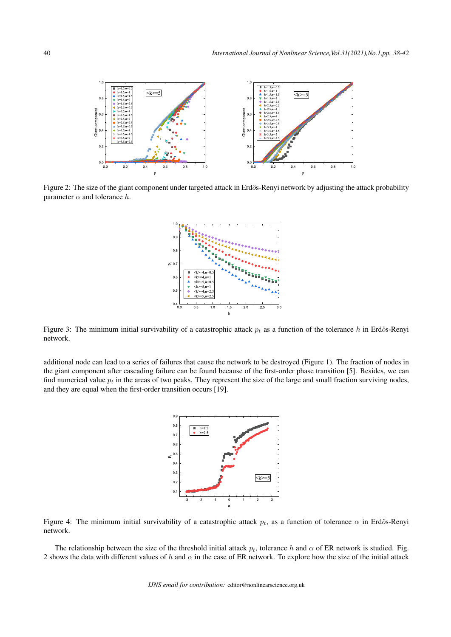

Figure 2: The size of the giant component under targeted attack in Erdös-Renyi network by adjusting the attack probability parameter  $\alpha$  and tolerance  $h$ .



Figure 3: The minimum initial survivability of a catastrophic attack  $p_t$  as a function of the tolerance  $h$  in Erdös-Renyi network.

additional node can lead to a series of failures that cause the network to be destroyed (Figure 1). The fraction of nodes in the giant component after cascading failure can be found because of the first-order phase transition [5]. Besides, we can find numerical value  $p<sub>t</sub>$  in the areas of two peaks. They represent the size of the large and small fraction surviving nodes, and they are equal when the first-order transition occurs [19].



Figure 4: The minimum initial survivability of a catastrophic attack  $p_t$ , as a function of tolerance  $\alpha$  in Erdös-Renyi network.

The relationship between the size of the threshold initial attack  $p_t$ , tolerance  $h$  and  $\alpha$  of ER network is studied. Fig. 2 shows the data with different values of *h* and *α* in the case of ER network. To explore how the size of the initial attack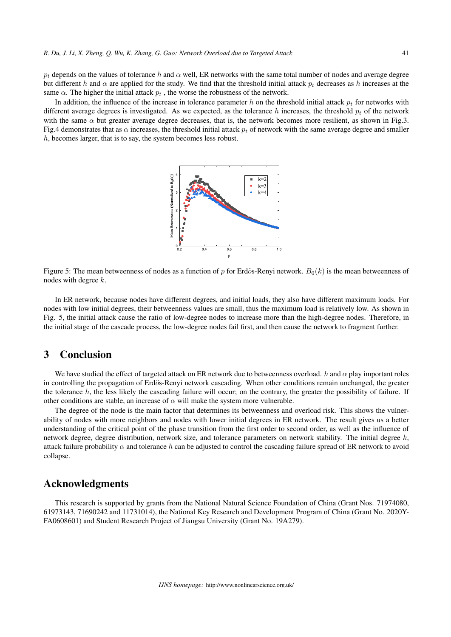$p_t$  depends on the values of tolerance *h* and  $\alpha$  well, ER networks with the same total number of nodes and average degree but different *h* and  $\alpha$  are applied for the study. We find that the threshold initial attack  $p_t$  decreases as *h* increases at the same  $\alpha$ . The higher the initial attack  $p_t$ , the worse the robustness of the network.

In addition, the influence of the increase in tolerance parameter *h* on the threshold initial attack *p<sup>t</sup>* for networks with different average degrees is investigated. As we expected, as the tolerance  $h$  increases, the threshold  $p_t$  of the network with the same  $\alpha$  but greater average degree decreases, that is, the network becomes more resilient, as shown in Fig.3. Fig.4 demonstrates that as  $\alpha$  increases, the threshold initial attack  $p_t$  of network with the same average degree and smaller *h*, becomes larger, that is to say, the system becomes less robust.



Figure 5: The mean betweenness of nodes as a function of p for Erdös-Renyi network.  $B_0(k)$  is the mean betweenness of nodes with degree *k*.

In ER network, because nodes have different degrees, and initial loads, they also have different maximum loads. For nodes with low initial degrees, their betweenness values are small, thus the maximum load is relatively low. As shown in Fig. 5, the initial attack cause the ratio of low-degree nodes to increase more than the high-degree nodes. Therefore, in the initial stage of the cascade process, the low-degree nodes fail first, and then cause the network to fragment further.

#### 3 Conclusion

We have studied the effect of targeted attack on ER network due to betweenness overload. *h* and *α* play important roles in controlling the propagation of Erdös-Renyi network cascading. When other conditions remain unchanged, the greater the tolerance *h*, the less likely the cascading failure will occur; on the contrary, the greater the possibility of failure. If other conditions are stable, an increase of  $\alpha$  will make the system more vulnerable.

The degree of the node is the main factor that determines its betweenness and overload risk. This shows the vulnerability of nodes with more neighbors and nodes with lower initial degrees in ER network. The result gives us a better understanding of the critical point of the phase transition from the first order to second order, as well as the influence of network degree, degree distribution, network size, and tolerance parameters on network stability. The initial degree *k*, attack failure probability  $\alpha$  and tolerance h can be adjusted to control the cascading failure spread of ER network to avoid collapse.

#### Acknowledgments

This research is supported by grants from the National Natural Science Foundation of China (Grant Nos. 71974080, 61973143, 71690242 and 11731014), the National Key Research and Development Program of China (Grant No. 2020Y-FA0608601) and Student Research Project of Jiangsu University (Grant No. 19A279).